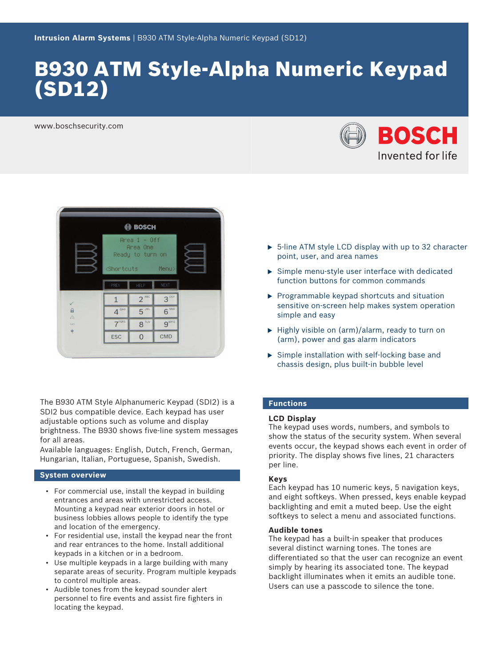# B930 ATM Style-Alpha Numeric Keypad (SD12)

www.boschsecurity.com





The B930 ATM Style Alphanumeric Keypad (SDI2) is a SDI2 bus compatible device. Each keypad has user adjustable options such as volume and display brightness. The B930 shows five-line system messages for all areas.

Available languages: English, Dutch, French, German, Hungarian, Italian, Portuguese, Spanish, Swedish.

# **System overview**

- For commercial use, install the keypad in building entrances and areas with unrestricted access. Mounting a keypad near exterior doors in hotel or business lobbies allows people to identify the type and location of the emergency.
- For residential use, install the keypad near the front and rear entrances to the home. Install additional keypads in a kitchen or in a bedroom.
- Use multiple keypads in a large building with many separate areas of security. Program multiple keypads to control multiple areas.
- Audible tones from the keypad sounder alert personnel to fire events and assist fire fighters in locating the keypad.
- $\triangleright$  5-line ATM style LCD display with up to 32 character point, user, and area names
- $\triangleright$  Simple menu-style user interface with dedicated function buttons for common commands
- $\blacktriangleright$  Programmable keypad shortcuts and situation sensitive on-screen help makes system operation simple and easy
- $\blacktriangleright$  Highly visible on (arm)/alarm, ready to turn on (arm), power and gas alarm indicators
- $\triangleright$  Simple installation with self-locking base and chassis design, plus built-in bubble level

# **Functions**

# **LCD Display**

The keypad uses words, numbers, and symbols to show the status of the security system. When several events occur, the keypad shows each event in order of priority. The display shows five lines, 21 characters per line.

# **Keys**

Each keypad has 10 numeric keys, 5 navigation keys, and eight softkeys. When pressed, keys enable keypad backlighting and emit a muted beep. Use the eight softkeys to select a menu and associated functions.

# **Audible tones**

The keypad has a built-in speaker that produces several distinct warning tones. The tones are differentiated so that the user can recognize an event simply by hearing its associated tone. The keypad backlight illuminates when it emits an audible tone. Users can use a passcode to silence the tone.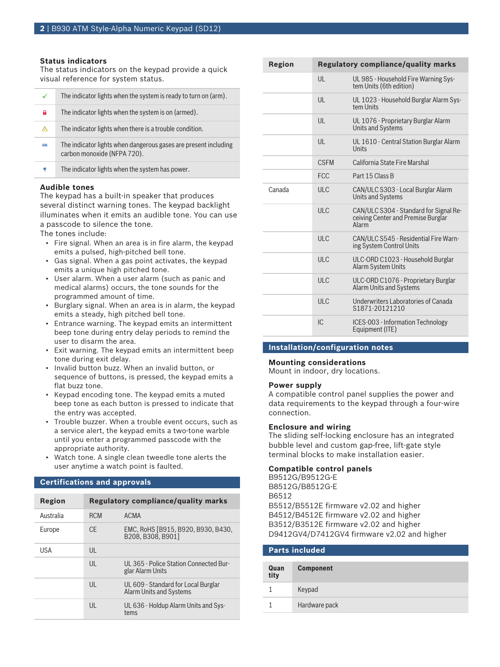# **Status indicators**

The status indicators on the keypad provide a quick visual reference for system status.

| $\checkmark$ | The indicator lights when the system is ready to turn on (arm).                                |
|--------------|------------------------------------------------------------------------------------------------|
| A            | The indicator lights when the system is on (armed).                                            |
| ◬            | The indicator lights when there is a trouble condition.                                        |
| <b>GAS</b>   | The indicator lights when dangerous gases are present including<br>carbon monoxide (NFPA 720). |
| ٠            | The indicator lights when the system has power.                                                |

### **Audible tones**

The keypad has a built-in speaker that produces several distinct warning tones. The keypad backlight illuminates when it emits an audible tone. You can use a passcode to silence the tone.

The tones include:

- Fire signal. When an area is in fire alarm, the keypad emits a pulsed, high-pitched bell tone.
- Gas signal. When a gas point activates, the keypad emits a unique high pitched tone.
- User alarm. When a user alarm (such as panic and medical alarms) occurs, the tone sounds for the programmed amount of time.
- Burglary signal. When an area is in alarm, the keypad emits a steady, high pitched bell tone.
- Entrance warning. The keypad emits an intermittent beep tone during entry delay periods to remind the user to disarm the area.
- Exit warning. The keypad emits an intermittent beep tone during exit delay.
- Invalid button buzz. When an invalid button, or sequence of buttons, is pressed, the keypad emits a flat buzz tone.
- Keypad encoding tone. The keypad emits a muted beep tone as each button is pressed to indicate that the entry was accepted.
- Trouble buzzer. When a trouble event occurs, such as a service alert, the keypad emits a two-tone warble until you enter a programmed passcode with the appropriate authority.
- Watch tone. A single clean tweedle tone alerts the user anytime a watch point is faulted.

# **Certifications and approvals**

| Region     |              | Regulatory compliance/quality marks                            |
|------------|--------------|----------------------------------------------------------------|
| Australia  | <b>RCM</b>   | <b>ACMA</b>                                                    |
| Europe     | CF.          | EMC, RoHS [B915, B920, B930, B430,<br>B208. B308. B9011        |
| <b>USA</b> | $\mathsf{U}$ |                                                                |
|            | $\mathsf{U}$ | UL365 - Police Station Connected Bur-<br>glar Alarm Units      |
|            | $\mathsf{U}$ | UL 609 - Standard for Local Burglar<br>Alarm Units and Systems |
|            | $\mathsf{U}$ | UL 636 - Holdup Alarm Units and Sys-<br>tems                   |

| Region | Regulatory compliance/quality marks |                                                                                              |
|--------|-------------------------------------|----------------------------------------------------------------------------------------------|
|        | UL                                  | UL 985 - Household Fire Warning Sys-<br>tem Units (6th edition)                              |
|        | UL                                  | UL 1023 - Household Burglar Alarm Sys-<br>tem Units                                          |
|        | UL                                  | UL 1076 - Proprietary Burglar Alarm<br><b>Units and Systems</b>                              |
|        | UL                                  | UL 1610 - Central Station Burglar Alarm<br>Units                                             |
|        | <b>CSEM</b>                         | California State Fire Marshal                                                                |
|        | <b>FCC</b>                          | Part 15 Class B                                                                              |
| Canada | ULC                                 | CAN/ULC S303 - Local Burglar Alarm<br><b>Units and Systems</b>                               |
|        | <b>ULC</b>                          | CAN/ULC S304 - Standard for Signal Re-<br>ceiving Center and Premise Burglar<br><b>Alarm</b> |
|        | ULC                                 | CAN/ULC S545 - Residential Fire Warn-<br>ing System Control Units                            |
|        | ULC                                 | ULC-ORD C1023 - Household Burglar<br>Alarm System Units                                      |
|        | ULC                                 | ULC-ORD C1076 - Proprietary Burglar<br>Alarm Units and Systems                               |
|        | ULC                                 | Underwriters Laboratories of Canada<br>S1871-20121210                                        |
|        | IC.                                 | ICES-003 - Information Technology<br>Equipment (ITE)                                         |

# **Installation/configuration notes**

## **Mounting considerations**

Mount in indoor, dry locations.

### **Power supply**

**Parts included**

A compatible control panel supplies the power and data requirements to the keypad through a four-wire connection.

# **Enclosure and wiring**

The sliding self-locking enclosure has an integrated bubble level and custom gap-free, lift-gate style terminal blocks to make installation easier.

# **Compatible control panels**

B9512G/B9512G-E B8512G/B8512G-E B6512 B5512/B5512E firmware v2.02 and higher B4512/B4512E firmware v2.02 and higher B3512/B3512E firmware v2.02 and higher D9412GV4/D7412GV4 firmware v2.02 and higher

| Quan<br>tity | <b>Component</b> |
|--------------|------------------|
|              | Keypad           |
|              | Hardware pack    |